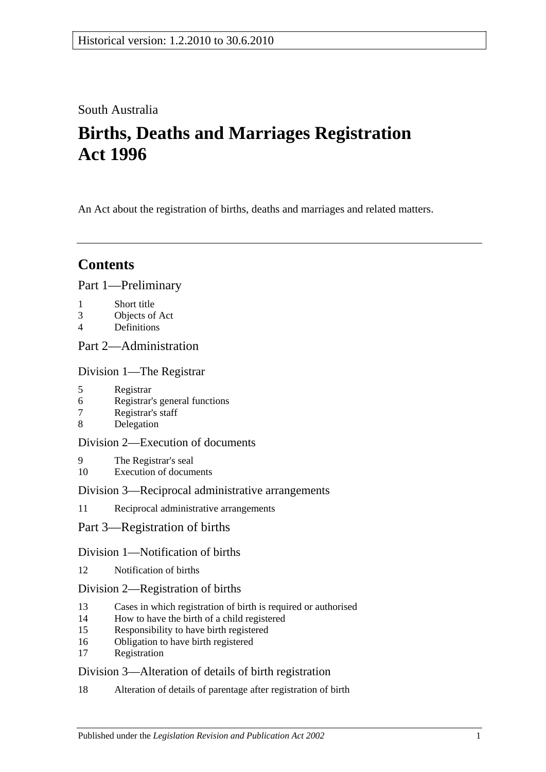## South Australia

# **Births, Deaths and Marriages Registration Act 1996**

An Act about the registration of births, deaths and marriages and related matters.

## **Contents**

### [Part 1—Preliminary](#page-2-0)

- 1 [Short title](#page-2-1)
- 3 [Objects of Act](#page-2-2)
- 4 [Definitions](#page-3-0)

## [Part 2—Administration](#page-4-0)

[Division 1—The Registrar](#page-4-1)

- 5 [Registrar](#page-4-2)
- 6 [Registrar's general functions](#page-4-3)
- 7 [Registrar's staff](#page-4-4)
- 8 [Delegation](#page-5-0)

### [Division 2—Execution of documents](#page-5-1)

- 9 [The Registrar's seal](#page-5-2)
- 10 [Execution of documents](#page-5-3)

#### [Division 3—Reciprocal administrative arrangements](#page-5-4)

- 11 [Reciprocal administrative arrangements](#page-5-5)
- [Part 3—Registration of births](#page-6-0)

#### [Division 1—Notification of births](#page-6-1)

12 [Notification of births](#page-6-2)

#### [Division 2—Registration of births](#page-6-3)

- 13 [Cases in which registration of birth is required or authorised](#page-6-4)
- 14 [How to have the birth of a child registered](#page-7-0)
- 15 [Responsibility to have birth registered](#page-7-1)
- 16 [Obligation to have birth registered](#page-7-2)
- 17 [Registration](#page-7-3)

### [Division 3—Alteration of details of birth registration](#page-8-0)

18 [Alteration of details of parentage after registration of birth](#page-8-1)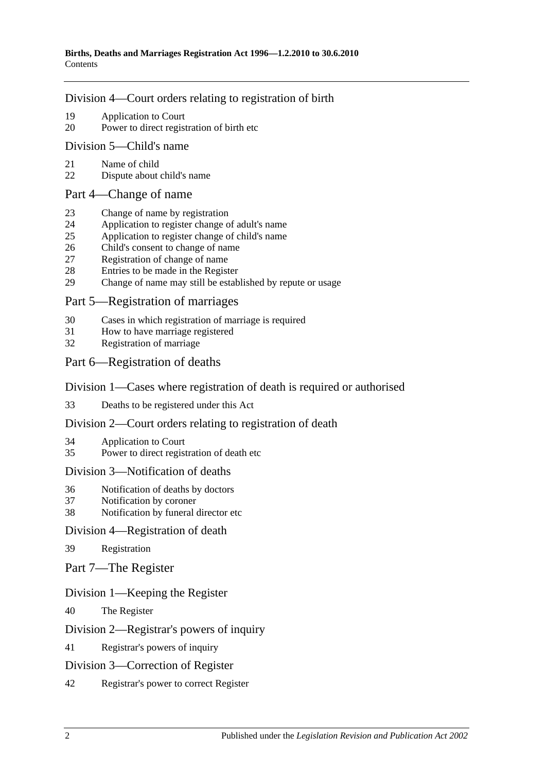#### [Division 4—Court orders relating to registration of birth](#page-8-2)

- 19 [Application to Court](#page-8-3)
- 20 [Power to direct registration of birth etc](#page-8-4)

#### [Division 5—Child's name](#page-9-0)

- 21 [Name of child](#page-9-1)
- 22 [Dispute about child's name](#page-9-2)

#### [Part 4—Change of name](#page-9-3)

- 23 [Change of name by registration](#page-9-4)
- 24 [Application to register change of adult's name](#page-9-5)
- 25 [Application to register change of child's name](#page-9-6)
- 26 [Child's consent to change of name](#page-10-0)
- 27 [Registration of change of name](#page-10-1)
- 28 [Entries to be made in the Register](#page-10-2)<br>29 Change of name may still be estable
- [Change of name may still be established by repute or usage](#page-11-0)

### [Part 5—Registration of marriages](#page-11-1)

- 30 [Cases in which registration of marriage is required](#page-11-2)
- 31 [How to have marriage registered](#page-11-3)
- 32 [Registration of marriage](#page-11-4)

### [Part 6—Registration of deaths](#page-11-5)

#### [Division 1—Cases where registration of death is required or authorised](#page-11-6)

33 [Deaths to be registered under this Act](#page-11-7)

#### [Division 2—Court orders relating to registration of death](#page-12-0)

- 34 [Application to Court](#page-12-1)
- 35 [Power to direct registration of death etc](#page-12-2)

#### [Division 3—Notification of deaths](#page-12-3)

- 36 [Notification of deaths by doctors](#page-12-4)
- 37 [Notification by coroner](#page-13-0)
- 38 [Notification by funeral director etc](#page-13-1)

#### [Division 4—Registration of death](#page-14-0)

- 39 [Registration](#page-14-1)
- [Part 7—The Register](#page-14-2)

#### [Division 1—Keeping the Register](#page-14-3)

40 [The Register](#page-14-4)

#### [Division 2—Registrar's powers of inquiry](#page-14-5)

#### 41 [Registrar's powers of inquiry](#page-14-6)

#### [Division 3—Correction of Register](#page-15-0)

42 [Registrar's power to correct Register](#page-15-1)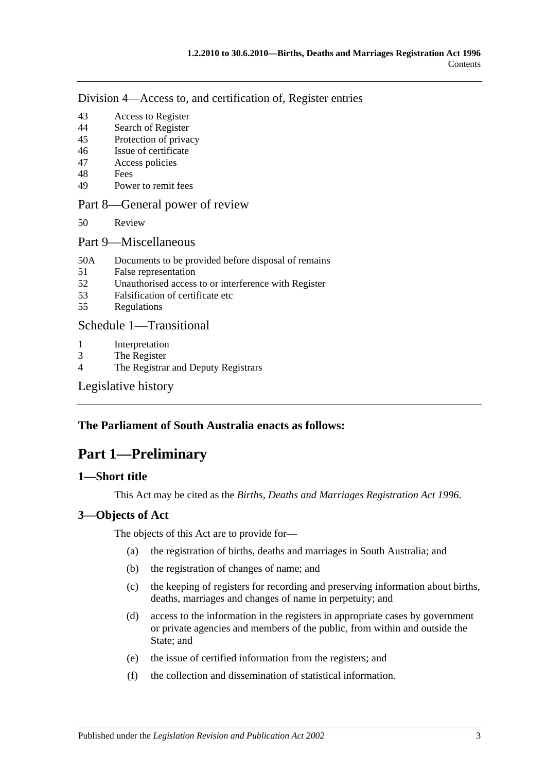[Division 4—Access to, and certification of, Register entries](#page-15-2)

- 43 [Access to Register](#page-15-3)
- 44 [Search of Register](#page-15-4)
- 45 [Protection of privacy](#page-16-0)
- 46 [Issue of certificate](#page-16-1)
- 47 [Access policies](#page-16-2)
- 48 [Fees](#page-16-3)
- 49 [Power to remit fees](#page-16-4)

#### [Part 8—General power of review](#page-17-0)

- 50 [Review](#page-17-1)
- [Part 9—Miscellaneous](#page-17-2)
- 50A [Documents to be provided before disposal of remains](#page-17-3)
- 51 [False representation](#page-18-0)
- 52 [Unauthorised access to or interference with Register](#page-18-1)
- 53 [Falsification of certificate etc](#page-18-2)
- 55 [Regulations](#page-18-3)

#### [Schedule 1—Transitional](#page-18-4)

- 1 [Interpretation](#page-18-5)
- 3 [The Register](#page-19-0)
- 4 [The Registrar and Deputy Registrars](#page-19-1)

[Legislative history](#page-20-0)

#### <span id="page-2-0"></span>**The Parliament of South Australia enacts as follows:**

## **Part 1—Preliminary**

#### <span id="page-2-1"></span>**1—Short title**

This Act may be cited as the *Births, Deaths and Marriages Registration Act 1996*.

#### <span id="page-2-2"></span>**3—Objects of Act**

The objects of this Act are to provide for—

- (a) the registration of births, deaths and marriages in South Australia; and
- (b) the registration of changes of name; and
- (c) the keeping of registers for recording and preserving information about births, deaths, marriages and changes of name in perpetuity; and
- (d) access to the information in the registers in appropriate cases by government or private agencies and members of the public, from within and outside the State; and
- (e) the issue of certified information from the registers; and
- (f) the collection and dissemination of statistical information.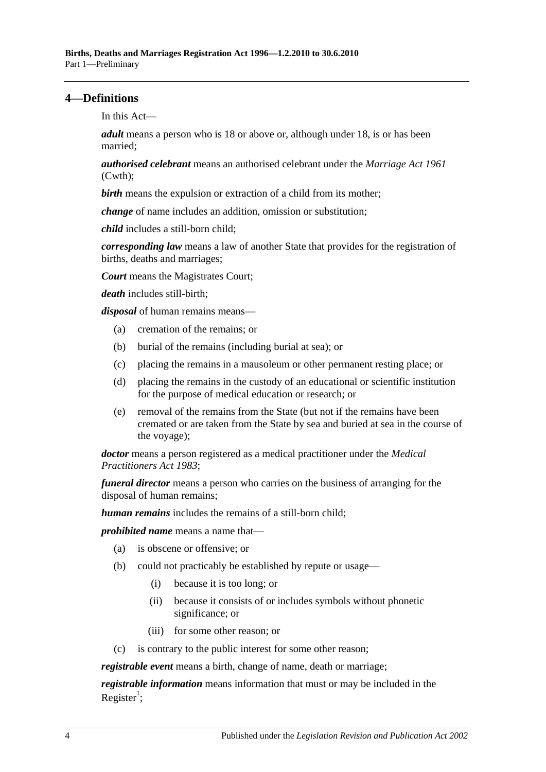#### <span id="page-3-0"></span>**4—Definitions**

In this Act—

*adult* means a person who is 18 or above or, although under 18, is or has been married;

*authorised celebrant* means an authorised celebrant under the *Marriage Act 1961* (Cwth);

**birth** means the expulsion or extraction of a child from its mother;

*change* of name includes an addition, omission or substitution;

*child* includes a still-born child;

*corresponding law* means a law of another State that provides for the registration of births, deaths and marriages;

*Court* means the Magistrates Court;

*death* includes still-birth;

*disposal* of human remains means—

- (a) cremation of the remains; or
- (b) burial of the remains (including burial at sea); or
- (c) placing the remains in a mausoleum or other permanent resting place; or
- (d) placing the remains in the custody of an educational or scientific institution for the purpose of medical education or research; or
- (e) removal of the remains from the State (but not if the remains have been cremated or are taken from the State by sea and buried at sea in the course of the voyage);

*doctor* means a person registered as a medical practitioner under the *[Medical](http://www.legislation.sa.gov.au/index.aspx?action=legref&type=act&legtitle=Medical%20Practitioners%20Act%201983)  [Practitioners Act](http://www.legislation.sa.gov.au/index.aspx?action=legref&type=act&legtitle=Medical%20Practitioners%20Act%201983) 1983*;

*funeral director* means a person who carries on the business of arranging for the disposal of human remains;

*human remains* includes the remains of a still-born child;

*prohibited name* means a name that—

- (a) is obscene or offensive; or
- (b) could not practicably be established by repute or usage—
	- (i) because it is too long; or
	- (ii) because it consists of or includes symbols without phonetic significance; or
	- (iii) for some other reason; or
- (c) is contrary to the public interest for some other reason;

*registrable event* means a birth, change of name, death or marriage;

*registrable information* means information that must or may be included in the Register<sup>1</sup>;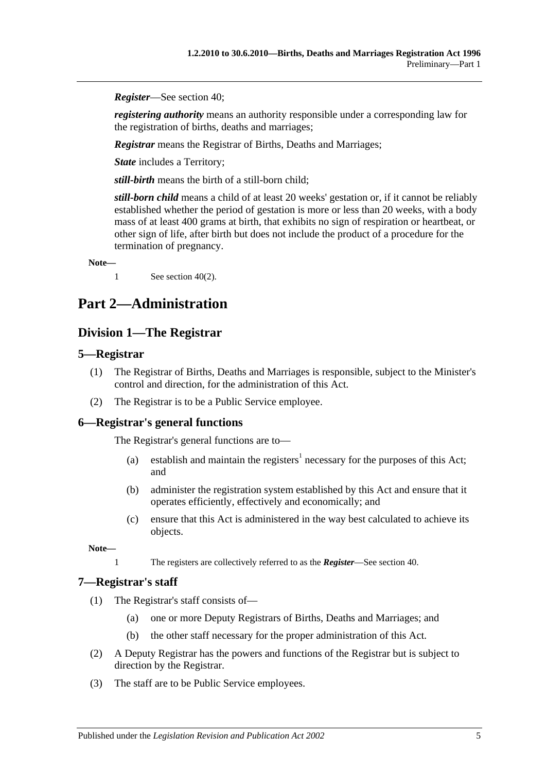*Register*—See [section](#page-14-4) 40;

*registering authority* means an authority responsible under a corresponding law for the registration of births, deaths and marriages;

*Registrar* means the Registrar of Births, Deaths and Marriages;

*State* includes a Territory;

*still-birth* means the birth of a still-born child;

*still-born child* means a child of at least 20 weeks' gestation or, if it cannot be reliably established whether the period of gestation is more or less than 20 weeks, with a body mass of at least 400 grams at birth, that exhibits no sign of respiration or heartbeat, or other sign of life, after birth but does not include the product of a procedure for the termination of pregnancy.

**Note—**

1 See [section](#page-14-7) 40(2).

## <span id="page-4-1"></span><span id="page-4-0"></span>**Part 2—Administration**

### **Division 1—The Registrar**

#### <span id="page-4-2"></span>**5—Registrar**

- (1) The Registrar of Births, Deaths and Marriages is responsible, subject to the Minister's control and direction, for the administration of this Act.
- (2) The Registrar is to be a Public Service employee.

#### <span id="page-4-3"></span>**6—Registrar's general functions**

The Registrar's general functions are to—

- (a) establish and maintain the registers<sup>1</sup> necessary for the purposes of this Act; and
- (b) administer the registration system established by this Act and ensure that it operates efficiently, effectively and economically; and
- (c) ensure that this Act is administered in the way best calculated to achieve its objects.

**Note—**

1 The registers are collectively referred to as the *Register*—See [section](#page-14-4) 40.

#### <span id="page-4-4"></span>**7—Registrar's staff**

- (1) The Registrar's staff consists of—
	- (a) one or more Deputy Registrars of Births, Deaths and Marriages; and
	- (b) the other staff necessary for the proper administration of this Act.
- (2) A Deputy Registrar has the powers and functions of the Registrar but is subject to direction by the Registrar.
- (3) The staff are to be Public Service employees.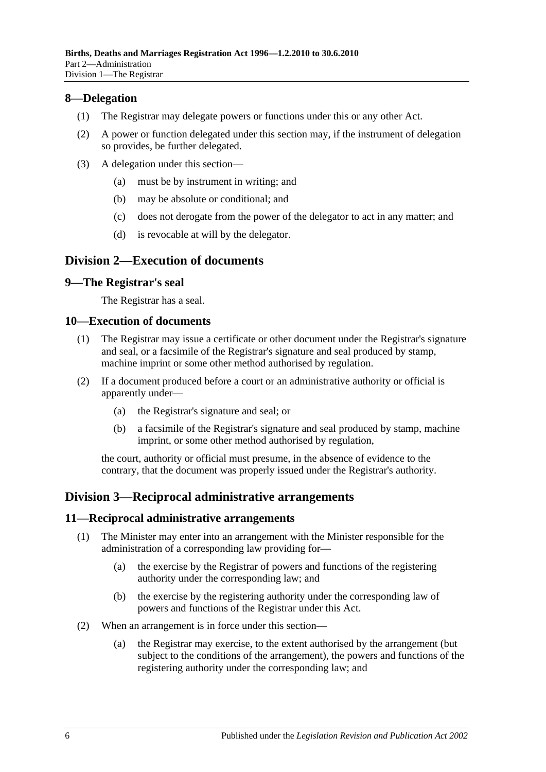#### <span id="page-5-0"></span>**8—Delegation**

- (1) The Registrar may delegate powers or functions under this or any other Act.
- (2) A power or function delegated under this section may, if the instrument of delegation so provides, be further delegated.
- (3) A delegation under this section—
	- (a) must be by instrument in writing; and
	- (b) may be absolute or conditional; and
	- (c) does not derogate from the power of the delegator to act in any matter; and
	- (d) is revocable at will by the delegator.

#### <span id="page-5-1"></span>**Division 2—Execution of documents**

#### <span id="page-5-2"></span>**9—The Registrar's seal**

The Registrar has a seal.

#### <span id="page-5-3"></span>**10—Execution of documents**

- (1) The Registrar may issue a certificate or other document under the Registrar's signature and seal, or a facsimile of the Registrar's signature and seal produced by stamp, machine imprint or some other method authorised by regulation.
- (2) If a document produced before a court or an administrative authority or official is apparently under—
	- (a) the Registrar's signature and seal; or
	- (b) a facsimile of the Registrar's signature and seal produced by stamp, machine imprint, or some other method authorised by regulation,

the court, authority or official must presume, in the absence of evidence to the contrary, that the document was properly issued under the Registrar's authority.

### <span id="page-5-4"></span>**Division 3—Reciprocal administrative arrangements**

#### <span id="page-5-5"></span>**11—Reciprocal administrative arrangements**

- (1) The Minister may enter into an arrangement with the Minister responsible for the administration of a corresponding law providing for—
	- (a) the exercise by the Registrar of powers and functions of the registering authority under the corresponding law; and
	- (b) the exercise by the registering authority under the corresponding law of powers and functions of the Registrar under this Act.
- (2) When an arrangement is in force under this section—
	- (a) the Registrar may exercise, to the extent authorised by the arrangement (but subject to the conditions of the arrangement), the powers and functions of the registering authority under the corresponding law; and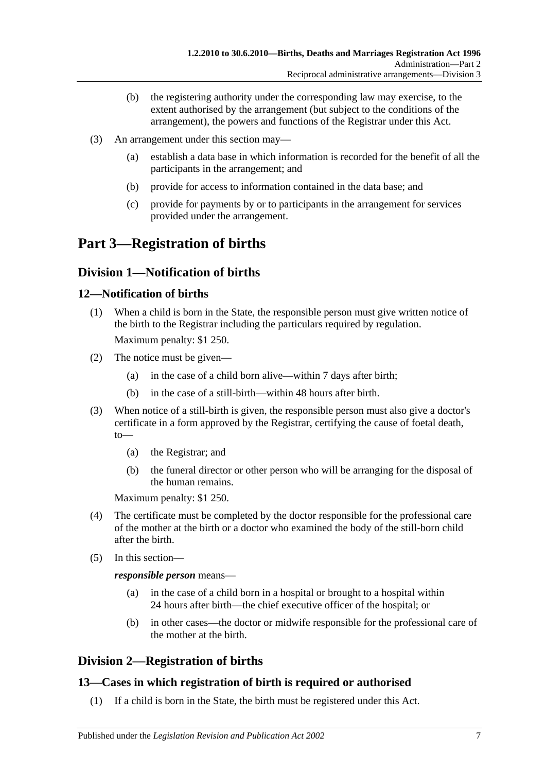- (b) the registering authority under the corresponding law may exercise, to the extent authorised by the arrangement (but subject to the conditions of the arrangement), the powers and functions of the Registrar under this Act.
- (3) An arrangement under this section may—
	- (a) establish a data base in which information is recorded for the benefit of all the participants in the arrangement; and
	- (b) provide for access to information contained in the data base; and
	- (c) provide for payments by or to participants in the arrangement for services provided under the arrangement.

## <span id="page-6-0"></span>**Part 3—Registration of births**

### <span id="page-6-1"></span>**Division 1—Notification of births**

#### <span id="page-6-2"></span>**12—Notification of births**

(1) When a child is born in the State, the responsible person must give written notice of the birth to the Registrar including the particulars required by regulation.

Maximum penalty: \$1 250.

- (2) The notice must be given—
	- (a) in the case of a child born alive—within 7 days after birth;
	- (b) in the case of a still-birth—within 48 hours after birth.
- (3) When notice of a still-birth is given, the responsible person must also give a doctor's certificate in a form approved by the Registrar, certifying the cause of foetal death, to—
	- (a) the Registrar; and
	- (b) the funeral director or other person who will be arranging for the disposal of the human remains.

Maximum penalty: \$1 250.

- (4) The certificate must be completed by the doctor responsible for the professional care of the mother at the birth or a doctor who examined the body of the still-born child after the birth.
- (5) In this section—

*responsible person* means—

- (a) in the case of a child born in a hospital or brought to a hospital within 24 hours after birth—the chief executive officer of the hospital; or
- (b) in other cases—the doctor or midwife responsible for the professional care of the mother at the birth.

## <span id="page-6-3"></span>**Division 2—Registration of births**

### <span id="page-6-4"></span>**13—Cases in which registration of birth is required or authorised**

(1) If a child is born in the State, the birth must be registered under this Act.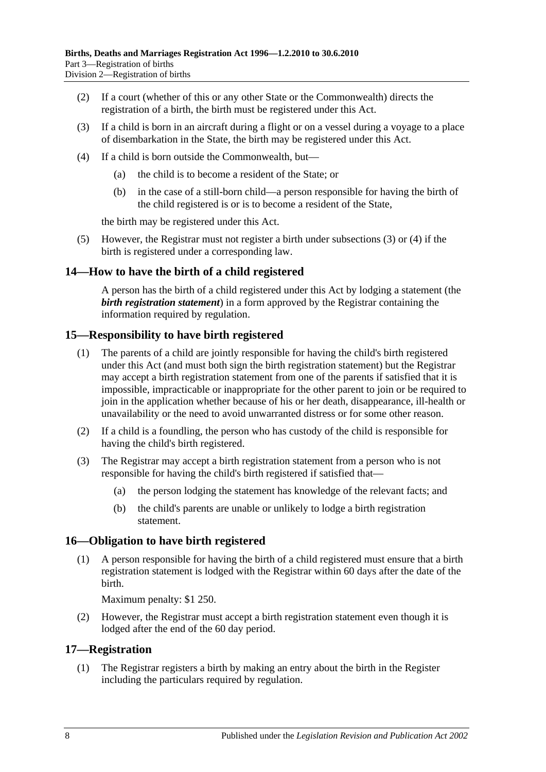- (2) If a court (whether of this or any other State or the Commonwealth) directs the registration of a birth, the birth must be registered under this Act.
- <span id="page-7-4"></span>(3) If a child is born in an aircraft during a flight or on a vessel during a voyage to a place of disembarkation in the State, the birth may be registered under this Act.
- <span id="page-7-5"></span>(4) If a child is born outside the Commonwealth, but—
	- (a) the child is to become a resident of the State; or
	- (b) in the case of a still-born child—a person responsible for having the birth of the child registered is or is to become a resident of the State,

the birth may be registered under this Act.

(5) However, the Registrar must not register a birth under [subsections](#page-7-4) (3) or [\(4\)](#page-7-5) if the birth is registered under a corresponding law.

#### <span id="page-7-0"></span>**14—How to have the birth of a child registered**

A person has the birth of a child registered under this Act by lodging a statement (the *birth registration statement*) in a form approved by the Registrar containing the information required by regulation.

#### <span id="page-7-1"></span>**15—Responsibility to have birth registered**

- (1) The parents of a child are jointly responsible for having the child's birth registered under this Act (and must both sign the birth registration statement) but the Registrar may accept a birth registration statement from one of the parents if satisfied that it is impossible, impracticable or inappropriate for the other parent to join or be required to join in the application whether because of his or her death, disappearance, ill-health or unavailability or the need to avoid unwarranted distress or for some other reason.
- (2) If a child is a foundling, the person who has custody of the child is responsible for having the child's birth registered.
- (3) The Registrar may accept a birth registration statement from a person who is not responsible for having the child's birth registered if satisfied that—
	- (a) the person lodging the statement has knowledge of the relevant facts; and
	- (b) the child's parents are unable or unlikely to lodge a birth registration statement.

#### <span id="page-7-2"></span>**16—Obligation to have birth registered**

(1) A person responsible for having the birth of a child registered must ensure that a birth registration statement is lodged with the Registrar within 60 days after the date of the birth.

Maximum penalty: \$1 250.

(2) However, the Registrar must accept a birth registration statement even though it is lodged after the end of the 60 day period.

#### <span id="page-7-3"></span>**17—Registration**

(1) The Registrar registers a birth by making an entry about the birth in the Register including the particulars required by regulation.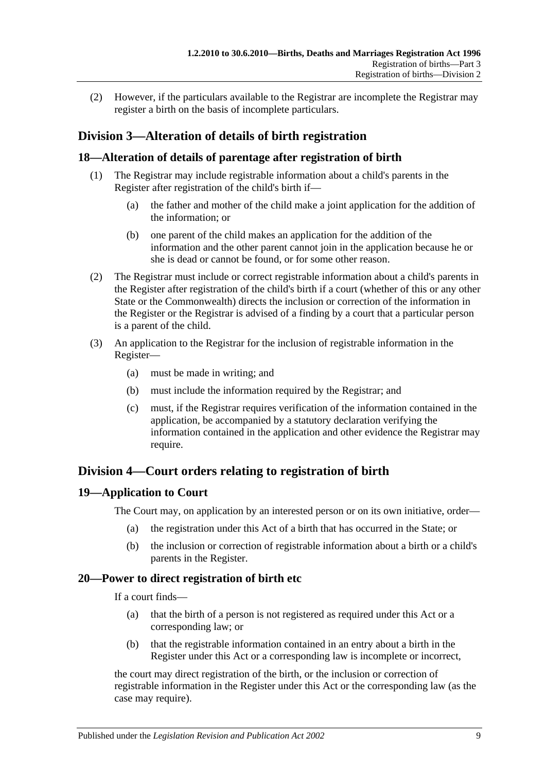(2) However, if the particulars available to the Registrar are incomplete the Registrar may register a birth on the basis of incomplete particulars.

## <span id="page-8-0"></span>**Division 3—Alteration of details of birth registration**

### <span id="page-8-1"></span>**18—Alteration of details of parentage after registration of birth**

- (1) The Registrar may include registrable information about a child's parents in the Register after registration of the child's birth if—
	- (a) the father and mother of the child make a joint application for the addition of the information; or
	- (b) one parent of the child makes an application for the addition of the information and the other parent cannot join in the application because he or she is dead or cannot be found, or for some other reason.
- (2) The Registrar must include or correct registrable information about a child's parents in the Register after registration of the child's birth if a court (whether of this or any other State or the Commonwealth) directs the inclusion or correction of the information in the Register or the Registrar is advised of a finding by a court that a particular person is a parent of the child.
- (3) An application to the Registrar for the inclusion of registrable information in the Register—
	- (a) must be made in writing; and
	- (b) must include the information required by the Registrar; and
	- (c) must, if the Registrar requires verification of the information contained in the application, be accompanied by a statutory declaration verifying the information contained in the application and other evidence the Registrar may require.

## <span id="page-8-2"></span>**Division 4—Court orders relating to registration of birth**

#### <span id="page-8-3"></span>**19—Application to Court**

The Court may, on application by an interested person or on its own initiative, order—

- (a) the registration under this Act of a birth that has occurred in the State; or
- (b) the inclusion or correction of registrable information about a birth or a child's parents in the Register.

#### <span id="page-8-4"></span>**20—Power to direct registration of birth etc**

If a court finds—

- (a) that the birth of a person is not registered as required under this Act or a corresponding law; or
- (b) that the registrable information contained in an entry about a birth in the Register under this Act or a corresponding law is incomplete or incorrect,

the court may direct registration of the birth, or the inclusion or correction of registrable information in the Register under this Act or the corresponding law (as the case may require).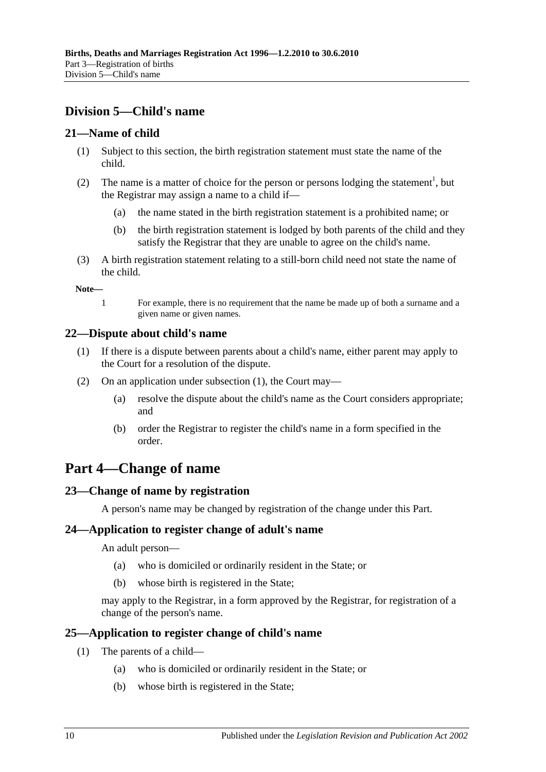## <span id="page-9-0"></span>**Division 5—Child's name**

#### <span id="page-9-1"></span>**21—Name of child**

- (1) Subject to this section, the birth registration statement must state the name of the child.
- (2) The name is a matter of choice for the person or persons lodging the statement<sup>1</sup>, but the Registrar may assign a name to a child if—
	- (a) the name stated in the birth registration statement is a prohibited name; or
	- (b) the birth registration statement is lodged by both parents of the child and they satisfy the Registrar that they are unable to agree on the child's name.
- (3) A birth registration statement relating to a still-born child need not state the name of the child.

**Note—**

1 For example, there is no requirement that the name be made up of both a surname and a given name or given names.

#### <span id="page-9-7"></span><span id="page-9-2"></span>**22—Dispute about child's name**

- (1) If there is a dispute between parents about a child's name, either parent may apply to the Court for a resolution of the dispute.
- (2) On an application under [subsection](#page-9-7) (1), the Court may—
	- (a) resolve the dispute about the child's name as the Court considers appropriate; and
	- (b) order the Registrar to register the child's name in a form specified in the order.

## <span id="page-9-3"></span>**Part 4—Change of name**

### <span id="page-9-4"></span>**23—Change of name by registration**

A person's name may be changed by registration of the change under this Part.

#### <span id="page-9-5"></span>**24—Application to register change of adult's name**

An adult person—

- (a) who is domiciled or ordinarily resident in the State; or
- (b) whose birth is registered in the State;

may apply to the Registrar, in a form approved by the Registrar, for registration of a change of the person's name.

#### <span id="page-9-6"></span>**25—Application to register change of child's name**

- (1) The parents of a child—
	- (a) who is domiciled or ordinarily resident in the State; or
	- (b) whose birth is registered in the State;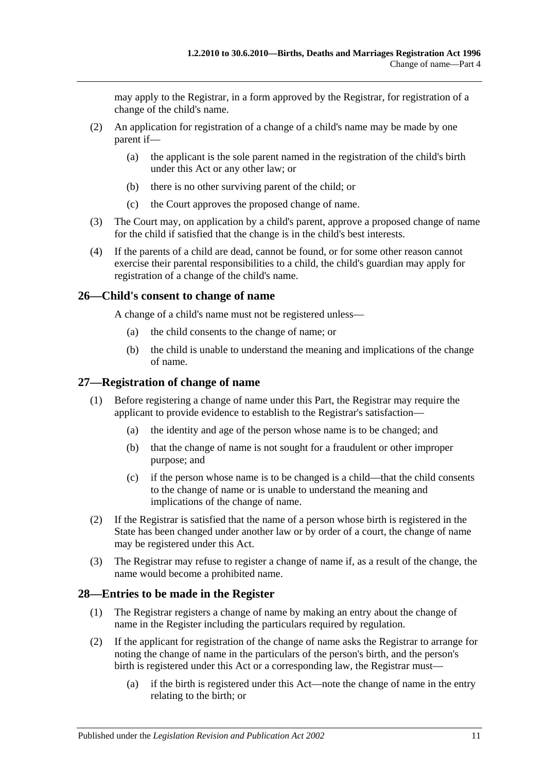may apply to the Registrar, in a form approved by the Registrar, for registration of a change of the child's name.

- (2) An application for registration of a change of a child's name may be made by one parent if—
	- (a) the applicant is the sole parent named in the registration of the child's birth under this Act or any other law; or
	- (b) there is no other surviving parent of the child; or
	- (c) the Court approves the proposed change of name.
- (3) The Court may, on application by a child's parent, approve a proposed change of name for the child if satisfied that the change is in the child's best interests.
- (4) If the parents of a child are dead, cannot be found, or for some other reason cannot exercise their parental responsibilities to a child, the child's guardian may apply for registration of a change of the child's name.

#### <span id="page-10-0"></span>**26—Child's consent to change of name**

A change of a child's name must not be registered unless—

- (a) the child consents to the change of name; or
- (b) the child is unable to understand the meaning and implications of the change of name.

### <span id="page-10-1"></span>**27—Registration of change of name**

- (1) Before registering a change of name under this Part, the Registrar may require the applicant to provide evidence to establish to the Registrar's satisfaction—
	- (a) the identity and age of the person whose name is to be changed; and
	- (b) that the change of name is not sought for a fraudulent or other improper purpose; and
	- (c) if the person whose name is to be changed is a child—that the child consents to the change of name or is unable to understand the meaning and implications of the change of name.
- (2) If the Registrar is satisfied that the name of a person whose birth is registered in the State has been changed under another law or by order of a court, the change of name may be registered under this Act.
- (3) The Registrar may refuse to register a change of name if, as a result of the change, the name would become a prohibited name.

#### <span id="page-10-2"></span>**28—Entries to be made in the Register**

- (1) The Registrar registers a change of name by making an entry about the change of name in the Register including the particulars required by regulation.
- <span id="page-10-3"></span>(2) If the applicant for registration of the change of name asks the Registrar to arrange for noting the change of name in the particulars of the person's birth, and the person's birth is registered under this Act or a corresponding law, the Registrar must—
	- (a) if the birth is registered under this Act—note the change of name in the entry relating to the birth; or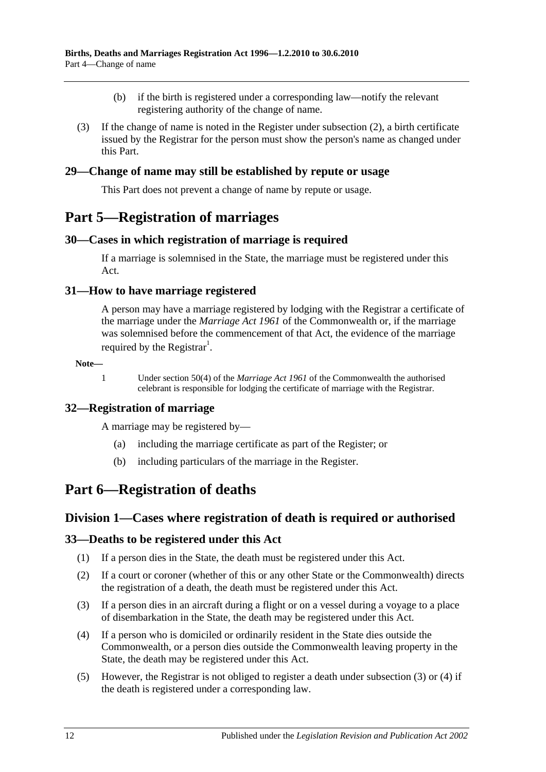- (b) if the birth is registered under a corresponding law—notify the relevant registering authority of the change of name.
- (3) If the change of name is noted in the Register under [subsection](#page-10-3) (2), a birth certificate issued by the Registrar for the person must show the person's name as changed under this Part.

#### <span id="page-11-0"></span>**29—Change of name may still be established by repute or usage**

This Part does not prevent a change of name by repute or usage.

## <span id="page-11-1"></span>**Part 5—Registration of marriages**

#### <span id="page-11-2"></span>**30—Cases in which registration of marriage is required**

If a marriage is solemnised in the State, the marriage must be registered under this Act.

#### <span id="page-11-3"></span>**31—How to have marriage registered**

A person may have a marriage registered by lodging with the Registrar a certificate of the marriage under the *Marriage Act 1961* of the Commonwealth or, if the marriage was solemnised before the commencement of that Act, the evidence of the marriage required by the Registrar<sup>1</sup>.

#### **Note—**

1 Under section 50(4) of the *Marriage Act 1961* of the Commonwealth the authorised celebrant is responsible for lodging the certificate of marriage with the Registrar.

#### <span id="page-11-4"></span>**32—Registration of marriage**

A marriage may be registered by—

- (a) including the marriage certificate as part of the Register; or
- (b) including particulars of the marriage in the Register.

## <span id="page-11-6"></span><span id="page-11-5"></span>**Part 6—Registration of deaths**

#### **Division 1—Cases where registration of death is required or authorised**

#### <span id="page-11-7"></span>**33—Deaths to be registered under this Act**

- (1) If a person dies in the State, the death must be registered under this Act.
- (2) If a court or coroner (whether of this or any other State or the Commonwealth) directs the registration of a death, the death must be registered under this Act.
- <span id="page-11-8"></span>(3) If a person dies in an aircraft during a flight or on a vessel during a voyage to a place of disembarkation in the State, the death may be registered under this Act.
- <span id="page-11-9"></span>(4) If a person who is domiciled or ordinarily resident in the State dies outside the Commonwealth, or a person dies outside the Commonwealth leaving property in the State, the death may be registered under this Act.
- (5) However, the Registrar is not obliged to register a death under [subsection](#page-11-8) (3) or [\(4\)](#page-11-9) if the death is registered under a corresponding law.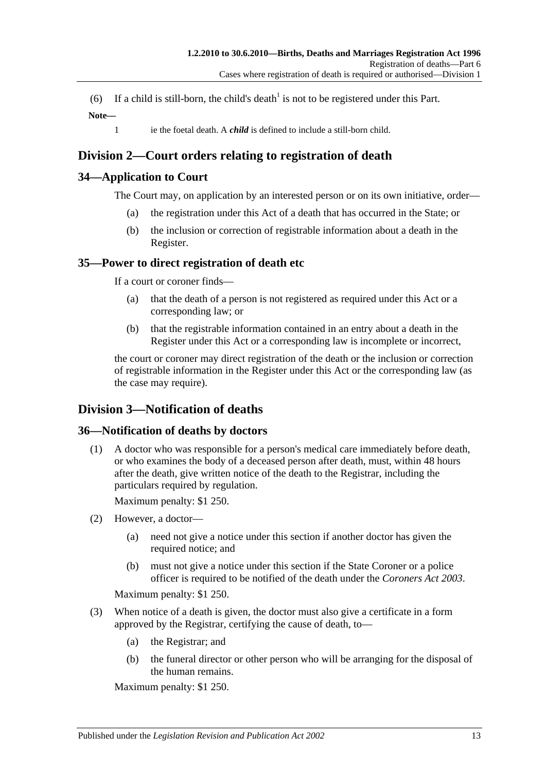(6) If a child is still-born, the child's death<sup>1</sup> is not to be registered under this Part. **Note—**

- - 1 ie the foetal death. A *child* is defined to include a still-born child.

## <span id="page-12-0"></span>**Division 2—Court orders relating to registration of death**

### <span id="page-12-1"></span>**34—Application to Court**

The Court may, on application by an interested person or on its own initiative, order—

- (a) the registration under this Act of a death that has occurred in the State; or
- (b) the inclusion or correction of registrable information about a death in the Register.

### <span id="page-12-2"></span>**35—Power to direct registration of death etc**

If a court or coroner finds—

- (a) that the death of a person is not registered as required under this Act or a corresponding law; or
- (b) that the registrable information contained in an entry about a death in the Register under this Act or a corresponding law is incomplete or incorrect,

the court or coroner may direct registration of the death or the inclusion or correction of registrable information in the Register under this Act or the corresponding law (as the case may require).

## <span id="page-12-3"></span>**Division 3—Notification of deaths**

### <span id="page-12-4"></span>**36—Notification of deaths by doctors**

(1) A doctor who was responsible for a person's medical care immediately before death, or who examines the body of a deceased person after death, must, within 48 hours after the death, give written notice of the death to the Registrar, including the particulars required by regulation.

Maximum penalty: \$1 250.

- (2) However, a doctor—
	- (a) need not give a notice under this section if another doctor has given the required notice; and
	- (b) must not give a notice under this section if the State Coroner or a police officer is required to be notified of the death under the *[Coroners Act](http://www.legislation.sa.gov.au/index.aspx?action=legref&type=act&legtitle=Coroners%20Act%202003) 2003*.

Maximum penalty: \$1 250.

- (3) When notice of a death is given, the doctor must also give a certificate in a form approved by the Registrar, certifying the cause of death, to—
	- (a) the Registrar; and
	- (b) the funeral director or other person who will be arranging for the disposal of the human remains.

Maximum penalty: \$1 250.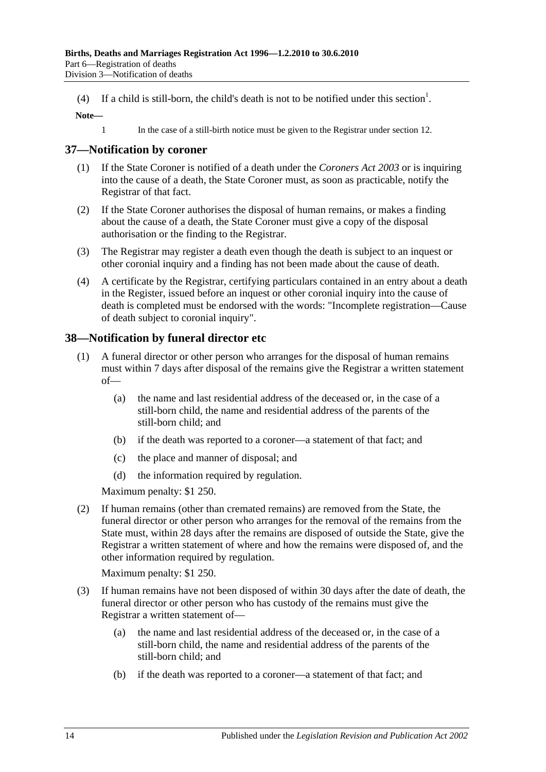(4) If a child is still-born, the child's death is not to be notified under this section<sup>1</sup>.

#### **Note—**

1 In the case of a still-birth notice must be given to the Registrar under [section](#page-6-2) 12.

#### <span id="page-13-0"></span>**37—Notification by coroner**

- (1) If the State Coroner is notified of a death under the *[Coroners Act](http://www.legislation.sa.gov.au/index.aspx?action=legref&type=act&legtitle=Coroners%20Act%202003) 2003* or is inquiring into the cause of a death, the State Coroner must, as soon as practicable, notify the Registrar of that fact.
- (2) If the State Coroner authorises the disposal of human remains, or makes a finding about the cause of a death, the State Coroner must give a copy of the disposal authorisation or the finding to the Registrar.
- (3) The Registrar may register a death even though the death is subject to an inquest or other coronial inquiry and a finding has not been made about the cause of death.
- (4) A certificate by the Registrar, certifying particulars contained in an entry about a death in the Register, issued before an inquest or other coronial inquiry into the cause of death is completed must be endorsed with the words: "Incomplete registration—Cause of death subject to coronial inquiry".

#### <span id="page-13-1"></span>**38—Notification by funeral director etc**

- (1) A funeral director or other person who arranges for the disposal of human remains must within 7 days after disposal of the remains give the Registrar a written statement of—
	- (a) the name and last residential address of the deceased or, in the case of a still-born child, the name and residential address of the parents of the still-born child; and
	- (b) if the death was reported to a coroner—a statement of that fact; and
	- (c) the place and manner of disposal; and
	- (d) the information required by regulation.

Maximum penalty: \$1 250.

(2) If human remains (other than cremated remains) are removed from the State, the funeral director or other person who arranges for the removal of the remains from the State must, within 28 days after the remains are disposed of outside the State, give the Registrar a written statement of where and how the remains were disposed of, and the other information required by regulation.

Maximum penalty: \$1 250.

- (3) If human remains have not been disposed of within 30 days after the date of death, the funeral director or other person who has custody of the remains must give the Registrar a written statement of—
	- (a) the name and last residential address of the deceased or, in the case of a still-born child, the name and residential address of the parents of the still-born child; and
	- (b) if the death was reported to a coroner—a statement of that fact; and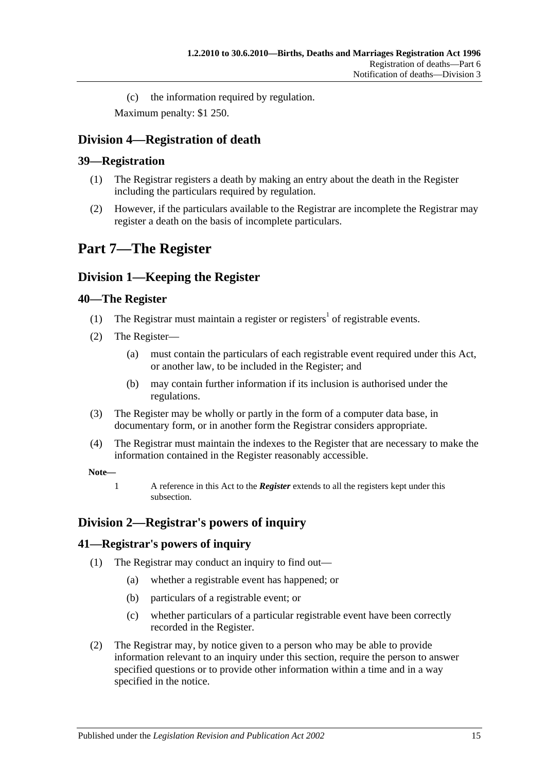(c) the information required by regulation.

Maximum penalty: \$1 250.

## <span id="page-14-0"></span>**Division 4—Registration of death**

### <span id="page-14-1"></span>**39—Registration**

- (1) The Registrar registers a death by making an entry about the death in the Register including the particulars required by regulation.
- (2) However, if the particulars available to the Registrar are incomplete the Registrar may register a death on the basis of incomplete particulars.

## <span id="page-14-2"></span>**Part 7—The Register**

## <span id="page-14-3"></span>**Division 1—Keeping the Register**

#### <span id="page-14-4"></span>**40—The Register**

- (1) The Registrar must maintain a register or registers<sup>1</sup> of registrable events.
- <span id="page-14-7"></span>(2) The Register—
	- (a) must contain the particulars of each registrable event required under this Act, or another law, to be included in the Register; and
	- (b) may contain further information if its inclusion is authorised under the regulations.
- (3) The Register may be wholly or partly in the form of a computer data base, in documentary form, or in another form the Registrar considers appropriate.
- (4) The Registrar must maintain the indexes to the Register that are necessary to make the information contained in the Register reasonably accessible.

#### **Note—**

1 A reference in this Act to the *Register* extends to all the registers kept under this subsection.

## <span id="page-14-5"></span>**Division 2—Registrar's powers of inquiry**

#### <span id="page-14-6"></span>**41—Registrar's powers of inquiry**

- (1) The Registrar may conduct an inquiry to find out—
	- (a) whether a registrable event has happened; or
	- (b) particulars of a registrable event; or
	- (c) whether particulars of a particular registrable event have been correctly recorded in the Register.
- <span id="page-14-8"></span>(2) The Registrar may, by notice given to a person who may be able to provide information relevant to an inquiry under this section, require the person to answer specified questions or to provide other information within a time and in a way specified in the notice.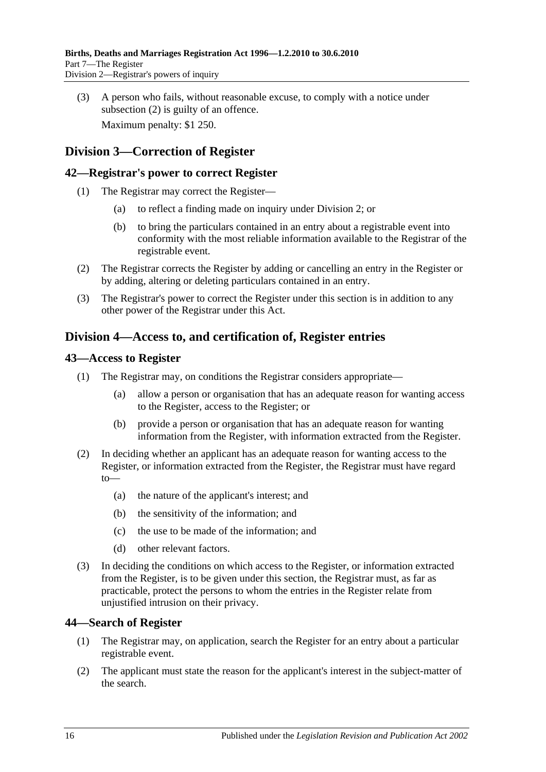(3) A person who fails, without reasonable excuse, to comply with a notice under [subsection](#page-14-8) (2) is guilty of an offence. Maximum penalty: \$1 250.

## <span id="page-15-0"></span>**Division 3—Correction of Register**

#### <span id="page-15-1"></span>**42—Registrar's power to correct Register**

- (1) The Registrar may correct the Register—
	- (a) to reflect a finding made on inquiry under [Division 2;](#page-14-5) or
	- (b) to bring the particulars contained in an entry about a registrable event into conformity with the most reliable information available to the Registrar of the registrable event.
- (2) The Registrar corrects the Register by adding or cancelling an entry in the Register or by adding, altering or deleting particulars contained in an entry.
- (3) The Registrar's power to correct the Register under this section is in addition to any other power of the Registrar under this Act.

### <span id="page-15-2"></span>**Division 4—Access to, and certification of, Register entries**

#### <span id="page-15-3"></span>**43—Access to Register**

- (1) The Registrar may, on conditions the Registrar considers appropriate—
	- (a) allow a person or organisation that has an adequate reason for wanting access to the Register, access to the Register; or
	- (b) provide a person or organisation that has an adequate reason for wanting information from the Register, with information extracted from the Register.
- (2) In deciding whether an applicant has an adequate reason for wanting access to the Register, or information extracted from the Register, the Registrar must have regard to—
	- (a) the nature of the applicant's interest; and
	- (b) the sensitivity of the information; and
	- (c) the use to be made of the information; and
	- (d) other relevant factors.
- (3) In deciding the conditions on which access to the Register, or information extracted from the Register, is to be given under this section, the Registrar must, as far as practicable, protect the persons to whom the entries in the Register relate from unjustified intrusion on their privacy.

#### <span id="page-15-4"></span>**44—Search of Register**

- (1) The Registrar may, on application, search the Register for an entry about a particular registrable event.
- (2) The applicant must state the reason for the applicant's interest in the subject-matter of the search.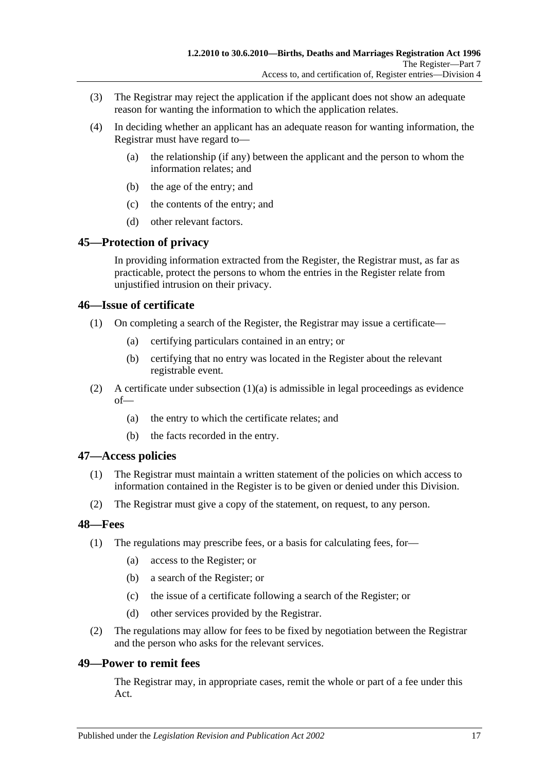- (3) The Registrar may reject the application if the applicant does not show an adequate reason for wanting the information to which the application relates.
- (4) In deciding whether an applicant has an adequate reason for wanting information, the Registrar must have regard to—
	- (a) the relationship (if any) between the applicant and the person to whom the information relates; and
	- (b) the age of the entry; and
	- (c) the contents of the entry; and
	- (d) other relevant factors.

### <span id="page-16-0"></span>**45—Protection of privacy**

In providing information extracted from the Register, the Registrar must, as far as practicable, protect the persons to whom the entries in the Register relate from unjustified intrusion on their privacy.

#### <span id="page-16-1"></span>**46—Issue of certificate**

- <span id="page-16-5"></span>(1) On completing a search of the Register, the Registrar may issue a certificate—
	- (a) certifying particulars contained in an entry; or
	- (b) certifying that no entry was located in the Register about the relevant registrable event.
- (2) A certificate under [subsection](#page-16-5)  $(1)(a)$  is admissible in legal proceedings as evidence of—
	- (a) the entry to which the certificate relates; and
	- (b) the facts recorded in the entry.

#### <span id="page-16-2"></span>**47—Access policies**

- (1) The Registrar must maintain a written statement of the policies on which access to information contained in the Register is to be given or denied under this Division.
- (2) The Registrar must give a copy of the statement, on request, to any person.

#### <span id="page-16-3"></span>**48—Fees**

- (1) The regulations may prescribe fees, or a basis for calculating fees, for—
	- (a) access to the Register; or
	- (b) a search of the Register; or
	- (c) the issue of a certificate following a search of the Register; or
	- (d) other services provided by the Registrar.
- (2) The regulations may allow for fees to be fixed by negotiation between the Registrar and the person who asks for the relevant services.

#### <span id="page-16-4"></span>**49—Power to remit fees**

The Registrar may, in appropriate cases, remit the whole or part of a fee under this Act.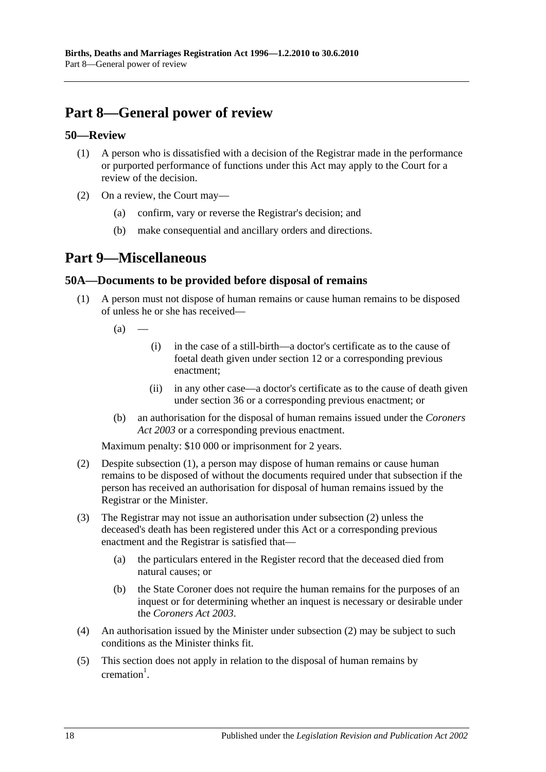## <span id="page-17-0"></span>**Part 8—General power of review**

#### <span id="page-17-1"></span>**50—Review**

- (1) A person who is dissatisfied with a decision of the Registrar made in the performance or purported performance of functions under this Act may apply to the Court for a review of the decision.
- (2) On a review, the Court may—
	- (a) confirm, vary or reverse the Registrar's decision; and
	- (b) make consequential and ancillary orders and directions.

## <span id="page-17-2"></span>**Part 9—Miscellaneous**

#### <span id="page-17-4"></span><span id="page-17-3"></span>**50A—Documents to be provided before disposal of remains**

- (1) A person must not dispose of human remains or cause human remains to be disposed of unless he or she has received—
	- $(a)$ 
		- (i) in the case of a still-birth—a doctor's certificate as to the cause of foetal death given under [section](#page-6-2) 12 or a corresponding previous enactment;
		- (ii) in any other case—a doctor's certificate as to the cause of death given under [section](#page-12-4) 36 or a corresponding previous enactment; or
	- (b) an authorisation for the disposal of human remains issued under the *[Coroners](http://www.legislation.sa.gov.au/index.aspx?action=legref&type=act&legtitle=Coroners%20Act%202003)  Act [2003](http://www.legislation.sa.gov.au/index.aspx?action=legref&type=act&legtitle=Coroners%20Act%202003)* or a corresponding previous enactment.

Maximum penalty: \$10 000 or imprisonment for 2 years.

- <span id="page-17-5"></span>(2) Despite [subsection](#page-17-4) (1), a person may dispose of human remains or cause human remains to be disposed of without the documents required under that subsection if the person has received an authorisation for disposal of human remains issued by the Registrar or the Minister.
- (3) The Registrar may not issue an authorisation under [subsection](#page-17-5) (2) unless the deceased's death has been registered under this Act or a corresponding previous enactment and the Registrar is satisfied that—
	- (a) the particulars entered in the Register record that the deceased died from natural causes; or
	- (b) the State Coroner does not require the human remains for the purposes of an inquest or for determining whether an inquest is necessary or desirable under the *[Coroners Act](http://www.legislation.sa.gov.au/index.aspx?action=legref&type=act&legtitle=Coroners%20Act%202003) 2003*.
- (4) An authorisation issued by the Minister under [subsection](#page-17-5) (2) may be subject to such conditions as the Minister thinks fit.
- (5) This section does not apply in relation to the disposal of human remains by  $c$ remation<sup>1</sup>.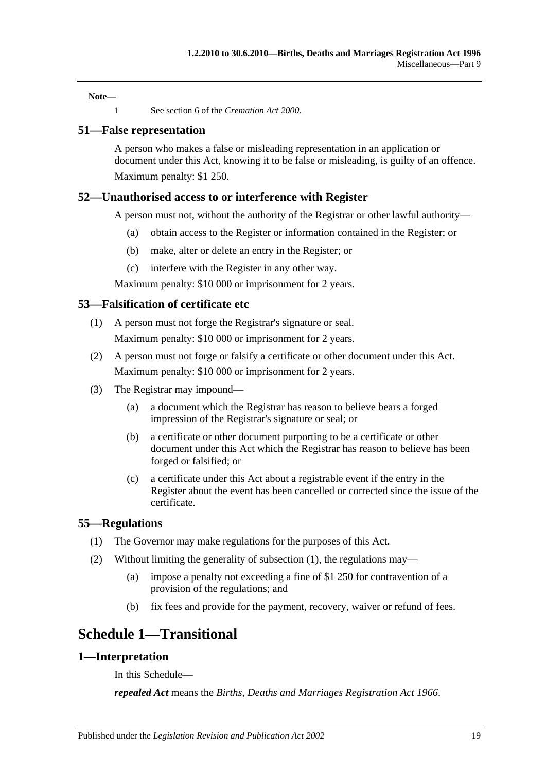**Note—**

1 See section 6 of the *[Cremation Act](http://www.legislation.sa.gov.au/index.aspx?action=legref&type=act&legtitle=Cremation%20Act%202000) 2000*.

#### <span id="page-18-0"></span>**51—False representation**

A person who makes a false or misleading representation in an application or document under this Act, knowing it to be false or misleading, is guilty of an offence. Maximum penalty: \$1 250.

#### <span id="page-18-1"></span>**52—Unauthorised access to or interference with Register**

A person must not, without the authority of the Registrar or other lawful authority—

- (a) obtain access to the Register or information contained in the Register; or
- (b) make, alter or delete an entry in the Register; or
- (c) interfere with the Register in any other way.

Maximum penalty: \$10 000 or imprisonment for 2 years.

#### <span id="page-18-2"></span>**53—Falsification of certificate etc**

- (1) A person must not forge the Registrar's signature or seal. Maximum penalty: \$10 000 or imprisonment for 2 years.
- (2) A person must not forge or falsify a certificate or other document under this Act. Maximum penalty: \$10 000 or imprisonment for 2 years.
- (3) The Registrar may impound—
	- (a) a document which the Registrar has reason to believe bears a forged impression of the Registrar's signature or seal; or
	- (b) a certificate or other document purporting to be a certificate or other document under this Act which the Registrar has reason to believe has been forged or falsified; or
	- (c) a certificate under this Act about a registrable event if the entry in the Register about the event has been cancelled or corrected since the issue of the certificate.

#### <span id="page-18-6"></span><span id="page-18-3"></span>**55—Regulations**

- (1) The Governor may make regulations for the purposes of this Act.
- (2) Without limiting the generality of [subsection](#page-18-6) (1), the regulations may—
	- (a) impose a penalty not exceeding a fine of \$1 250 for contravention of a provision of the regulations; and
	- (b) fix fees and provide for the payment, recovery, waiver or refund of fees.

## <span id="page-18-4"></span>**Schedule 1—Transitional**

#### <span id="page-18-5"></span>**1—Interpretation**

In this Schedule—

*repealed Act* means the *[Births, Deaths and Marriages Registration Act](http://www.legislation.sa.gov.au/index.aspx?action=legref&type=act&legtitle=Births%20Deaths%20and%20Marriages%20Registration%20Act%201966) 1966*.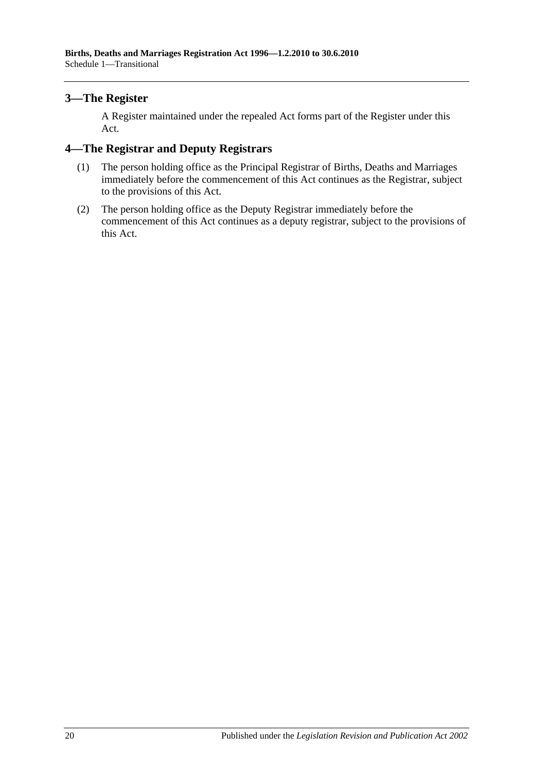### <span id="page-19-0"></span>**3—The Register**

A Register maintained under the repealed Act forms part of the Register under this Act.

#### <span id="page-19-1"></span>**4—The Registrar and Deputy Registrars**

- (1) The person holding office as the Principal Registrar of Births, Deaths and Marriages immediately before the commencement of this Act continues as the Registrar, subject to the provisions of this Act.
- (2) The person holding office as the Deputy Registrar immediately before the commencement of this Act continues as a deputy registrar, subject to the provisions of this Act.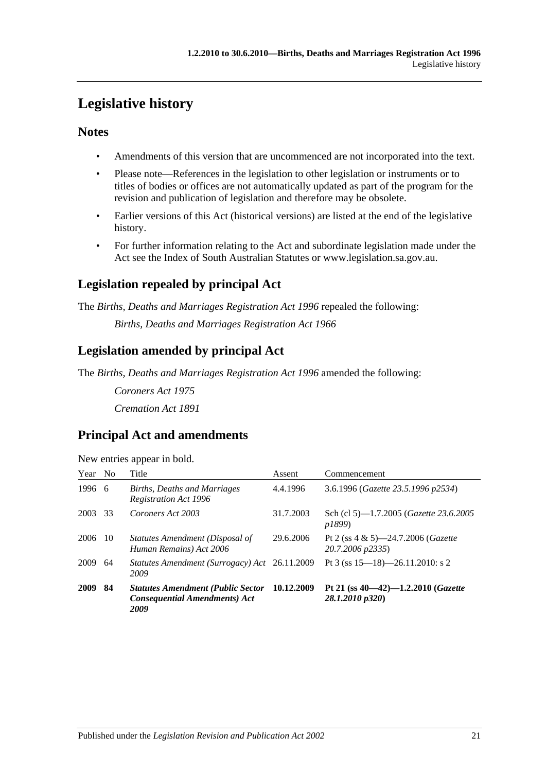## <span id="page-20-0"></span>**Legislative history**

### **Notes**

- Amendments of this version that are uncommenced are not incorporated into the text.
- Please note—References in the legislation to other legislation or instruments or to titles of bodies or offices are not automatically updated as part of the program for the revision and publication of legislation and therefore may be obsolete.
- Earlier versions of this Act (historical versions) are listed at the end of the legislative history.
- For further information relating to the Act and subordinate legislation made under the Act see the Index of South Australian Statutes or www.legislation.sa.gov.au.

## **Legislation repealed by principal Act**

The *Births, Deaths and Marriages Registration Act 1996* repealed the following:

*Births, Deaths and Marriages Registration Act 1966*

## **Legislation amended by principal Act**

The *Births, Deaths and Marriages Registration Act 1996* amended the following:

*Coroners Act 1975 Cremation Act 1891*

## **Principal Act and amendments**

| New entries appear in bold. |  |  |
|-----------------------------|--|--|
|                             |  |  |

| Year No |     | Title                                                                                    | Assent     | Commencement                                                       |
|---------|-----|------------------------------------------------------------------------------------------|------------|--------------------------------------------------------------------|
| 1996 6  |     | <b>Births, Deaths and Marriages</b><br><b>Registration Act 1996</b>                      | 4.4.1996   | 3.6.1996 (Gazette 23.5.1996 p2534)                                 |
| 2003    | 33  | Coroners Act 2003                                                                        | 31.7.2003  | Sch (cl 5)-1.7.2005 (Gazette 23.6.2005<br><i>p1899</i> )           |
| 2006    | -10 | Statutes Amendment (Disposal of<br>Human Remains) Act 2006                               | 29.6.2006  | Pt 2 (ss $4 \& 5$ )—24.7.2006 ( <i>Gazette</i><br>20.7.2006 p2335) |
| 2009    | 64  | Statutes Amendment (Surrogacy) Act 26.11.2009<br>2009                                    |            | Pt 3 (ss $15-18$ )-26.11.2010: s 2                                 |
| 2009    | 84  | <b>Statutes Amendment (Public Sector</b><br><b>Consequential Amendments) Act</b><br>2009 | 10.12.2009 | Pt 21 (ss $40-42$ )-1.2.2010 ( <i>Gazette</i><br>28.1.2010 p320)   |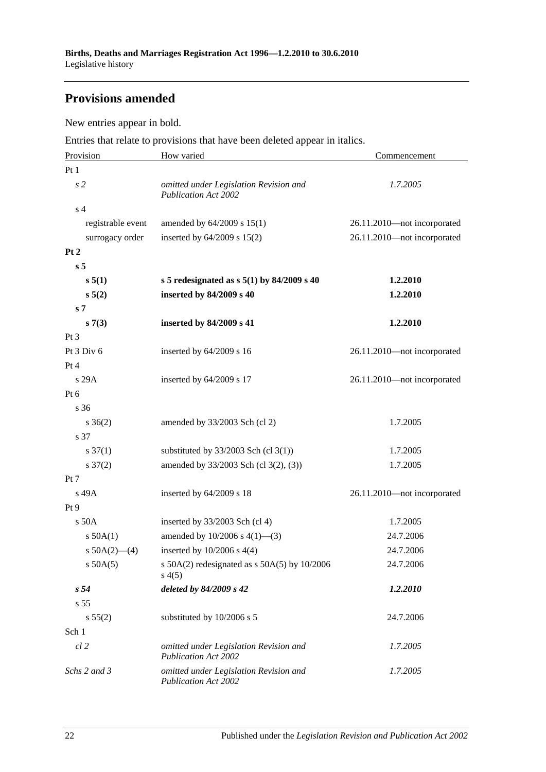## **Provisions amended**

New entries appear in bold.

Entries that relate to provisions that have been deleted appear in italics.

| Provision           | How varied                                                            | Commencement                |  |
|---------------------|-----------------------------------------------------------------------|-----------------------------|--|
| Pt1                 |                                                                       |                             |  |
| s <sub>2</sub>      | omitted under Legislation Revision and<br><b>Publication Act 2002</b> | 1.7.2005                    |  |
| s <sub>4</sub>      |                                                                       |                             |  |
| registrable event   | amended by 64/2009 s 15(1)                                            | 26.11.2010-not incorporated |  |
| surrogacy order     | inserted by $64/2009$ s $15(2)$                                       | 26.11.2010-not incorporated |  |
| Pt 2                |                                                                       |                             |  |
| s <sub>5</sub>      |                                                                       |                             |  |
| s 5(1)              | s 5 redesignated as $s$ 5(1) by 84/2009 s 40                          | 1.2.2010                    |  |
| $s\,5(2)$           | inserted by 84/2009 s 40                                              | 1.2.2010                    |  |
| s <sub>7</sub>      |                                                                       |                             |  |
| s(7(3))             | inserted by 84/2009 s 41                                              | 1.2.2010                    |  |
| $Pt\,3$             |                                                                       |                             |  |
| Pt $3$ Div $6$      | inserted by $64/2009$ s 16                                            | 26.11.2010-not incorporated |  |
| Pt 4                |                                                                       |                             |  |
| s29A                | inserted by 64/2009 s 17                                              | 26.11.2010-not incorporated |  |
| $Pt\ 6$             |                                                                       |                             |  |
| s 36                |                                                                       |                             |  |
| $s \; 36(2)$        | amended by 33/2003 Sch (cl 2)                                         | 1.7.2005                    |  |
| s 37                |                                                                       |                             |  |
| $s \frac{37(1)}{2}$ | substituted by $33/2003$ Sch (cl 3(1))                                | 1.7.2005                    |  |
| $s \frac{37(2)}{2}$ | amended by 33/2003 Sch (cl 3(2), (3))                                 | 1.7.2005                    |  |
| Pt 7                |                                                                       |                             |  |
| s 49A               | inserted by $64/2009$ s 18                                            | 26.11.2010-not incorporated |  |
| Pt 9                |                                                                       |                             |  |
| $s$ 50 $A$          | inserted by $33/2003$ Sch (cl 4)                                      | 1.7.2005                    |  |
| $s$ 50A(1)          | amended by $10/2006$ s $4(1)$ —(3)                                    | 24.7.2006                   |  |
| s $50A(2)$ - (4)    | inserted by $10/2006$ s $4(4)$                                        | 24.7.2006                   |  |
| $s$ 50A(5)          | s $50A(2)$ redesignated as s $50A(5)$ by $10/2006$<br>s(4(5)          | 24.7.2006                   |  |
| s <sub>54</sub>     | deleted by 84/2009 s 42                                               | 1.2.2010                    |  |
| s 55                |                                                                       |                             |  |
| s 55(2)             | substituted by 10/2006 s 5                                            | 24.7.2006                   |  |
| Sch 1               |                                                                       |                             |  |
| $cl$ 2              | omitted under Legislation Revision and<br><b>Publication Act 2002</b> | 1.7.2005                    |  |
| Schs 2 and 3        | omitted under Legislation Revision and<br><b>Publication Act 2002</b> | 1.7.2005                    |  |